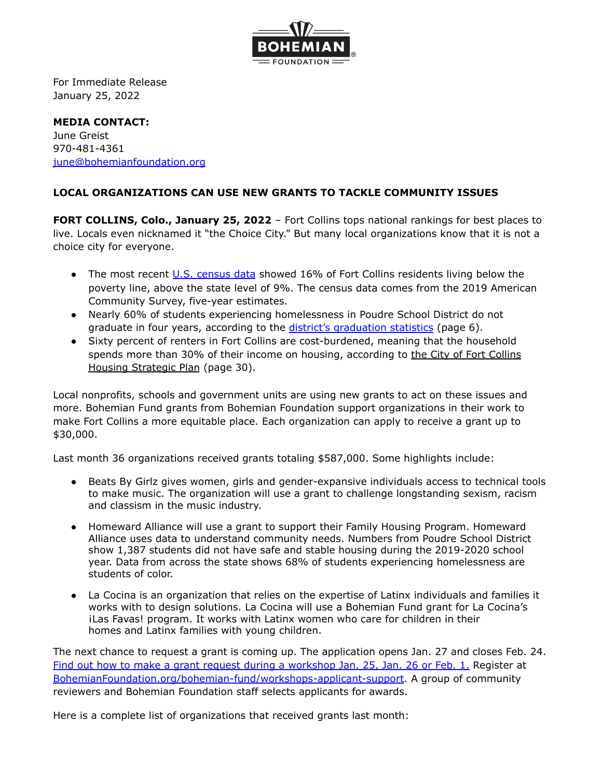

For Immediate Release January 25, 2022

**MEDIA CONTACT:** June Greist 970-481-4361 [june@bohemianfoundation.org](mailto:june@bohemianfoundation.org)

## **LOCAL ORGANIZATIONS CAN USE NEW GRANTS TO TACKLE COMMUNITY ISSUES**

**FORT COLLINS, Colo., January 25, 2022** – Fort Collins tops national rankings for best places to live. Locals even nicknamed it "the Choice City." But many local organizations know that it is not a choice city for everyone.

- The most recent U.S. [census](https://www.census.gov/quickfacts/fact/table/fortcollinscitycolorado,CO,larimercountycolorado/RHI225219) data showed 16% of Fort Collins residents living below the poverty line, above the state level of 9%. The census data comes from the 2019 American Community Survey, five-year estimates.
- Nearly 60% of students experiencing homelessness in Poudre School District do not graduate in four years, according to the district's [graduation](https://app.powerbi.com/view?r=eyJrIjoiZDU0OTNiNzUtZTM2NS00NWE2LTg0MmYtZWU4Mzg3NGU5NDQ0IiwidCI6IjBkNmQ4NDZjLWVhZGQtNGI2Yy1iMDNlLWYxNWNkNGI3ZTljZiIsImMiOjZ9) statistics (page 6).
- Sixty percent of renters in Fort Collins are cost-burdened, meaning that the household spends more than 30% of their income on housing, according to the City of Fort [Collins](https://www.fcgov.com/housing/files/20-22913-housing-strategic-plan-no-appendices.pdf?1618855189) Housing [Strategic](https://www.fcgov.com/housing/files/20-22913-housing-strategic-plan-no-appendices.pdf?1618855189) Plan (page 30).

Local nonprofits, schools and government units are using new grants to act on these issues and more. Bohemian Fund grants from Bohemian Foundation support organizations in their work to make Fort Collins a more equitable place. Each organization can apply to receive a grant up to \$30,000.

Last month 36 organizations received grants totaling \$587,000. Some highlights include:

- Beats By Girlz gives women, girls and gender-expansive individuals access to technical tools to make music. The organization will use a grant to challenge longstanding sexism, racism and classism in the music industry.
- Homeward Alliance will use a grant to support their Family Housing Program. Homeward Alliance uses data to understand community needs. Numbers from Poudre School District show 1,387 students did not have safe and stable housing during the 2019-2020 school year. Data from across the state shows 68% of students experiencing homelessness are students of color.
- La Cocina is an organization that relies on the expertise of Latinx individuals and families it works with to design solutions. La Cocina will use a Bohemian Fund grant for La Cocina's ¡Las Favas! program. It works with Latinx women who care for children in their homes and Latinx families with young children.

The next chance to request a grant is coming up. The application opens Jan. 27 and closes Feb. 24. Find out how to make a grant request during a [workshop](https://www.bohemianfoundation.org/bohemian-fund/workshops-applicant-support) Jan. 25, Jan. 26 or Feb. 1. Register at [BohemianFoundation.org/bohemian-fund/workshops-applicant-support](https://www.bohemianfoundation.org/bohemian-fund/workshops-applicant-support). A group of community reviewers and Bohemian Foundation staff selects applicants for awards.

Here is a complete list of organizations that received grants last month: